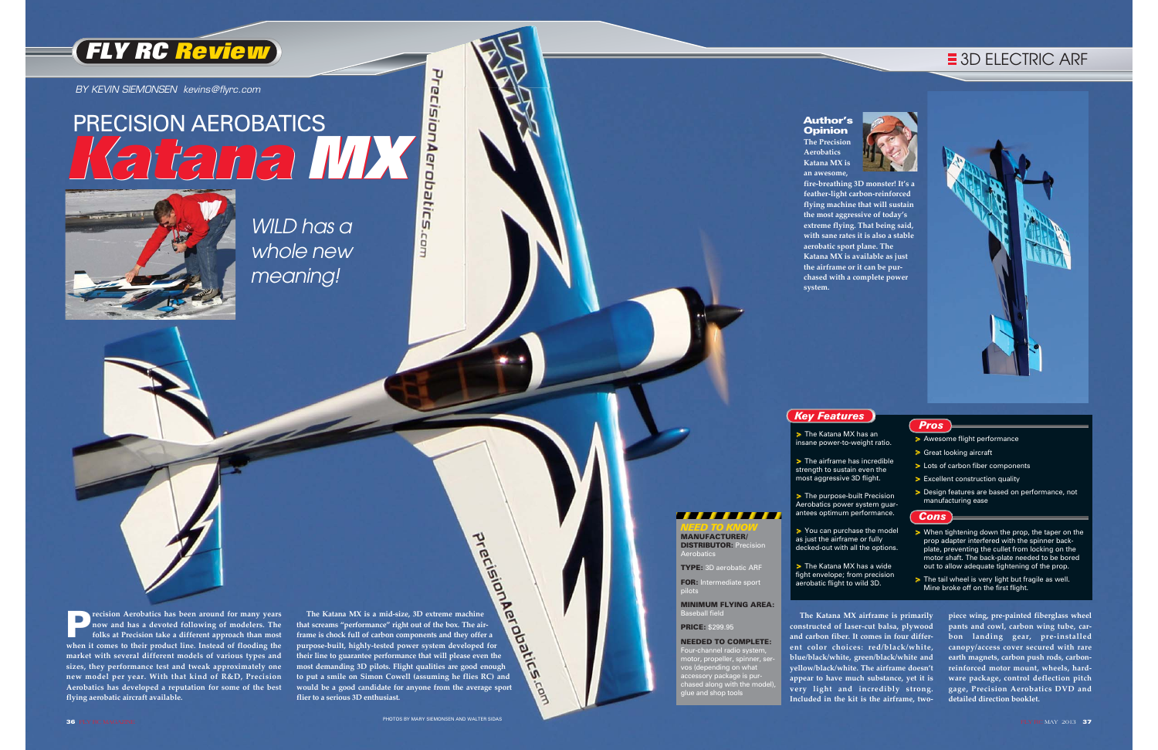P**recision Aerobatics has been around for many years now and has a devoted following of modelers. The folks at Precision take a different approach than most when it comes to their product line. Instead of flooding the market with several different models of various types and sizes, they performance test and tweak approximately one new model per year. With that kind of R&D, Precision Aerobatics has developed a reputation for some of the best flying aerobatic aircraft available.** 

The Katana MX is a mid-size, 3D extreme machine<br>at screams "performance" right out of the box. The air-<br>me is chock full of carbon components and they offer a<br>rupose-built, highly-tested power system developed for<br>eir line **that screams "performance" right out of the box. The airframe is chock full of carbon components and they offer a purpose-built, highly-tested power system developed for their line to guarantee performance that will please even the most demanding 3D pilots. Flight qualities are good enough to put a smile on Simon Cowell (assuming he flies RC) and would be a good candidate for anyone from the average sport flier to a serious 3D enthusiast.** 

Lam

> The Katana MX has an insane power-to-weight ratio.

> The airframe has incredible strength to sustain even the most aggressive 3D flight.

> The purpose-built Precision Aerobatics power system guarantees optimum performance.

> The Katana MX has a wide fight envelope; from precision aerobatic flight to wild 3D.

- > Awesome flight performance
- > Great looking aircraft
- > Lots of carbon fiber components
- > Excellent construction quality
- > Design features are based on performance, not manufacturing ease

#### Author's **Opinion**

- > When tightening down the prop, the taper on the prop adapter interfered with the spinner backplate, preventing the cullet from locking on the motor shaft. The back-plate needed to be bored out to allow adequate tightening of the prop.
- > The tail wheel is very light but fragile as well. Mine broke off on the first flight.

COTT.

as just the airframe or fully decked-out with all the options.

#### *Pros*

#### *Cons*

## **FLY RC Review**

**The Precision Aerobatics Katana MX is an awesome, aerobatic sport plane. The system.** 

**fire-breathing 3D monster! It's a feather-light carbon-reinforced flying machine that will sustain the most aggressive of today's extreme flying. That being said, with sane rates it is also a stable Katana MX is available as just the airframe or it can be purchased with a complete power**



- 
- 
- 
- > You can purchase the model
	-

#### *Key Features*

WILD has a whole new meaning!

BY KEVIN SIEMONSEN kevins@flyrc.com

# PrecisionAera PRECISION AEROBATICS **Katana MXJbatics**



*NEED TO KNOW* MANUFACTURER/ DISTRIBUTOR: Precision

**TELEVISION** 

Aerobatics

TYPE: 3D aerobatic ARF FOR: Intermediate sport

pilots

MINIMUM FLYING AREA:

Baseball field PRICE: \$299.95

NEEDED TO COMPLETE: Four-channel radio syster<br>,,, motor, propeller, spinner, servos (depending on what accessory package is purchased along with the model), glue and shop tools

**constructed of laser-cut balsa, plywood and carbon fiber. It comes in four different color choices: red/black/white, blue/black/white, green/black/white and yellow/black/white. The airframe doesn't appear to have much substance, yet it is very light and incredibly strong. Included in the kit is the airframe, two-**

## $\equiv$  **3D ELECTRIC ARF**



**The Katana MX airframe is primarily piece wing, pre-painted fiberglass wheel pants and cowl, carbon wing tube, car bon landing gear, pre-installed canopy/access cover secured with rare earth magnets, carbon push rods, carbon reinforced motor mount, wheels, hard ware package, control deflection pitch gage, Precision Aerobatics DVD and detailed direction booklet.**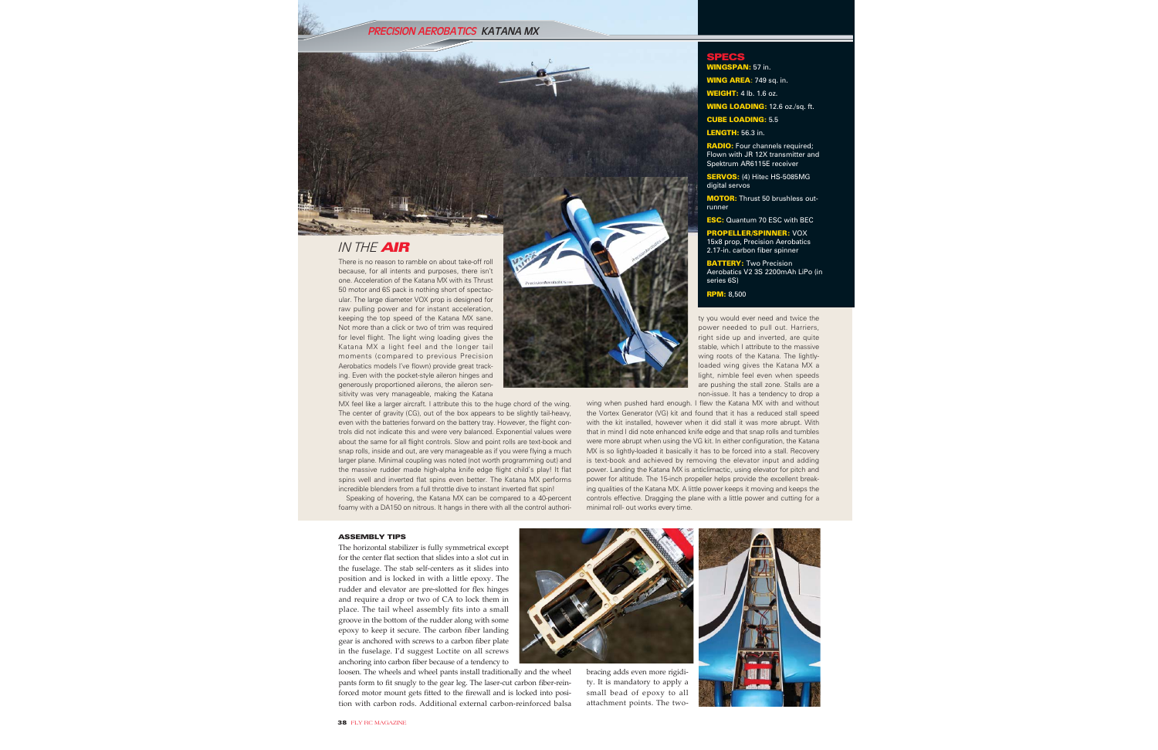PRECISION AEROBATICS KATANA MX



### IN THE AIR

There is no reason to ramble on about take-off roll because, for all intents and purposes, there isn't one. Acceleration of the Katana MX with its Thrust 50 motor and 6S pack is nothing short of spectacular. The large diameter VOX prop is designed for raw pulling power and for instant acceleration, keeping the top speed of the Katana MX sane. Not more than a click or two of trim was required for level flight. The light wing loading gives the Katana MX a light feel and the longer tail moments (compared to previous Precision Aerobatics models I've flown) provide great tracking. Even with the pocket-style aileron hinges and generously proportioned ailerons, the aileron sensitivity was very manageable, making the Katana

MX feel like a larger aircraft. I attribute this to the huge chord of the wing. The center of gravity (CG), out of the box appears to be slightly tail-heavy, even with the batteries forward on the battery tray. However, the flight controls did not indicate this and were very balanced. Exponential values were about the same for all flight controls. Slow and point rolls are text-book and snap rolls, inside and out, are very manageable as if you were flying a much larger plane. Minimal coupling was noted (not worth programming out) and the massive rudder made high-alpha knife edge flight child's play! It flat spins well and inverted flat spins even better. The Katana MX performs incredible blenders from a full throttle dive to instant inverted flat spin!

Speaking of hovering, the Katana MX can be compared to a 40-percent foamy with a DA150 on nitrous. It hangs in there with all the control authori-



wing when pushed hard enough. I flew the Katana MX with and without the Vortex Generator (VG) kit and found that it has a reduced stall speed with the kit installed, however when it did stall it was more abrupt. With that in mind I did note enhanced knife edge and that snap rolls and tumbles were more abrupt when using the VG kit. In either configuration, the Katana MX is so lightly-loaded it basically it has to be forced into a stall. Recovery is text-book and achieved by removing the elevator input and adding power. Landing the Katana MX is anticlimactic, using elevator for pitch and power for altitude. The 15-inch propeller helps provide the excellent breaking qualities of the Katana MX. A little power keeps it moving and keeps the controls effective. Dragging the plane with a little power and cutting for a minimal roll- out works every time.

#### **ASSEMBLY TIPS**

The horizontal stabilizer is fully symmetrical except for the center flat section that slides into a slot cut in the fuselage. The stab self-centers as it slides into position and is locked in with a little epoxy. The rudder and elevator are pre-slotted for flex hinges and require a drop or two of CA to lock them in place. The tail wheel assembly fits into a small groove in the bottom of the rudder along with some epoxy to keep it secure. The carbon fiber landing gear is anchored with screws to a carbon fiber plate in the fuselage. I'd suggest Loctite on all screws anchoring into carbon fiber because of a tendency to

loosen. The wheels and wheel pants install traditionally and the wheel pants form to fit snugly to the gear leg. The laser-cut carbon fiber-reinforced motor mount gets fitted to the firewall and is locked into position with carbon rods. Additional external carbon-reinforced balsa



bracing adds even more rigidity. It is mandatory to apply a small bead of epoxy to all attachment points. The two-



AN: 57 in. NG AREA: 749 sq. in. **NEIGHT:** 4 lb. 1.6 oz.

**WING LOADING: 12.6 oz./sq. ft.** 

**RADIO:** Four channels required; Flown with JR 12X transmitter and Spektrum AR6115E receiver **SERVOS:** (4) Hitec HS-5085MG

**MOTOR:** Thrust 50 brushless out-

**ESC:** Quantum 70 ESC with BEC ROPELLER/SPINNER: VOX 15x8 prop, Precision Aerobatics

Aerobatics V2 3S 2200mAh LiPo (in

ty you would ever need and twice the

power needed to pull out. Harriers.

right side up and inverted, are quite

stable, which I attribute to the massive wing roots of the Katana. The lightly-

loaded wing gives the Katana MX a

light, nimble feel even when speeds

are pushing the stall zone. Stalls are a

non-issue. It has a tendency to drop a

2.17-in. carbon fiber spinner

**BATTERY:** Two Precision

**CUBE LOADING: 5.5 LENGTH: 56.3 in.** 

digital servos

runner

series 6S)

**RPM:** 8,500